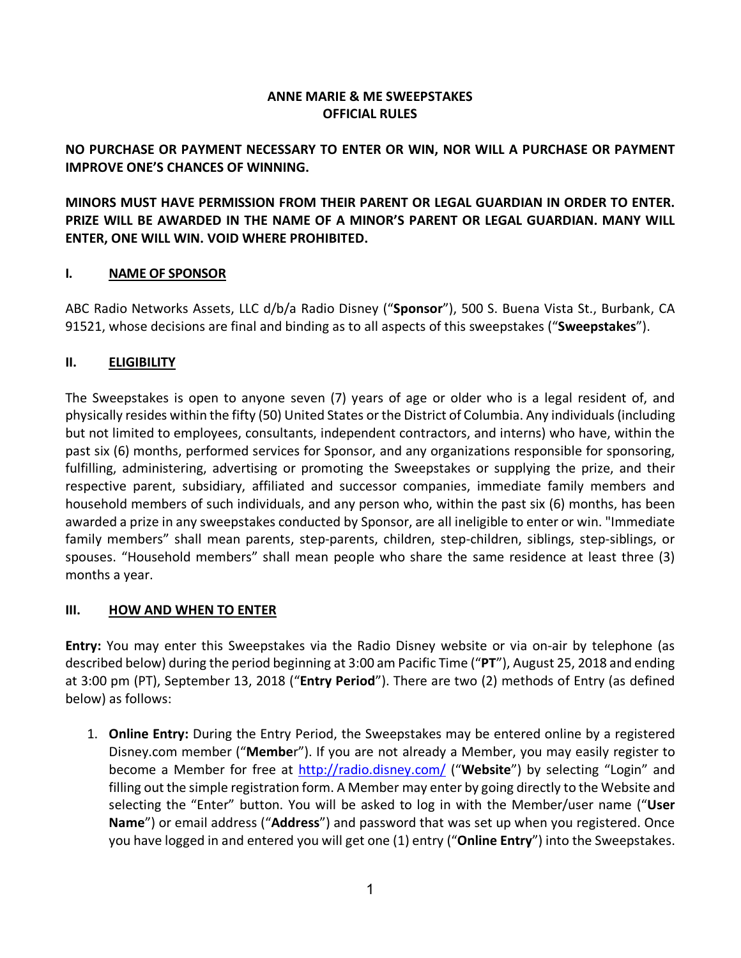# **ANNE MARIE & ME SWEEPSTAKES OFFICIAL RULES**

# **NO PURCHASE OR PAYMENT NECESSARY TO ENTER OR WIN, NOR WILL A PURCHASE OR PAYMENT IMPROVE ONE'S CHANCES OF WINNING.**

**MINORS MUST HAVE PERMISSION FROM THEIR PARENT OR LEGAL GUARDIAN IN ORDER TO ENTER. PRIZE WILL BE AWARDED IN THE NAME OF A MINOR'S PARENT OR LEGAL GUARDIAN. MANY WILL ENTER, ONE WILL WIN. VOID WHERE PROHIBITED.**

#### **I. NAME OF SPONSOR**

ABC Radio Networks Assets, LLC d/b/a Radio Disney ("**Sponsor**"), 500 S. Buena Vista St., Burbank, CA 91521, whose decisions are final and binding as to all aspects of this sweepstakes ("**Sweepstakes**").

#### **II. ELIGIBILITY**

The Sweepstakes is open to anyone seven (7) years of age or older who is a legal resident of, and physically resides within the fifty (50) United States orthe District of Columbia. Any individuals (including but not limited to employees, consultants, independent contractors, and interns) who have, within the past six (6) months, performed services for Sponsor, and any organizations responsible for sponsoring, fulfilling, administering, advertising or promoting the Sweepstakes or supplying the prize, and their respective parent, subsidiary, affiliated and successor companies, immediate family members and household members of such individuals, and any person who, within the past six (6) months, has been awarded a prize in any sweepstakes conducted by Sponsor, are all ineligible to enter or win. "Immediate family members" shall mean parents, step-parents, children, step-children, siblings, step-siblings, or spouses. "Household members" shall mean people who share the same residence at least three (3) months a year.

#### **III. HOW AND WHEN TO ENTER**

**Entry:** You may enter this Sweepstakes via the Radio Disney website or via on-air by telephone (as described below) during the period beginning at 3:00 am Pacific Time ("**PT**"), August 25, 2018 and ending at 3:00 pm (PT), September 13, 2018 ("**Entry Period**"). There are two (2) methods of Entry (as defined below) as follows:

1. **Online Entry:** During the Entry Period, the Sweepstakes may be entered online by a registered Disney.com member ("**Membe**r"). If you are not already a Member, you may easily register to become a Member for free at http://radio.disney.com/ ("**Website**") by selecting "Login" and filling out the simple registration form. A Member may enter by going directly to the Website and selecting the "Enter" button. You will be asked to log in with the Member/user name ("**User Name**") or email address ("**Address**") and password that was set up when you registered. Once you have logged in and entered you will get one (1) entry ("**Online Entry**") into the Sweepstakes.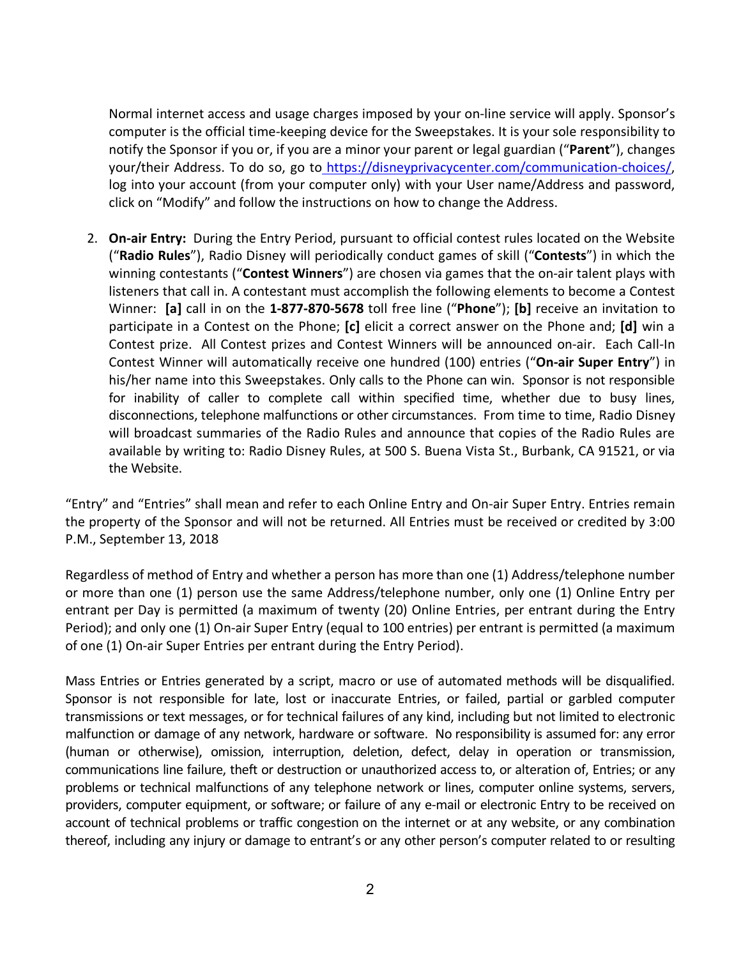Normal internet access and usage charges imposed by your on-line service will apply. Sponsor's computer is the official time-keeping device for the Sweepstakes. It is your sole responsibility to notify the Sponsor if you or, if you are a minor your parent or legal guardian ("**Parent**"), changes your/their Address. To do so, go to https://disneyprivacycenter.com/communication-choices/, log into your account (from your computer only) with your User name/Address and password, click on "Modify" and follow the instructions on how to change the Address.

2. **On-air Entry:** During the Entry Period, pursuant to official contest rules located on the Website ("**Radio Rules**"), Radio Disney will periodically conduct games of skill ("**Contests**") in which the winning contestants ("**Contest Winners**") are chosen via games that the on-air talent plays with listeners that call in. A contestant must accomplish the following elements to become a Contest Winner: **[a]** call in on the **1-877-870-5678** toll free line ("**Phone**"); **[b]** receive an invitation to participate in a Contest on the Phone; **[c]** elicit a correct answer on the Phone and; **[d]** win a Contest prize. All Contest prizes and Contest Winners will be announced on-air. Each Call-In Contest Winner will automatically receive one hundred (100) entries ("**On-air Super Entry**") in his/her name into this Sweepstakes. Only calls to the Phone can win. Sponsor is not responsible for inability of caller to complete call within specified time, whether due to busy lines, disconnections, telephone malfunctions or other circumstances. From time to time, Radio Disney will broadcast summaries of the Radio Rules and announce that copies of the Radio Rules are available by writing to: Radio Disney Rules, at 500 S. Buena Vista St., Burbank, CA 91521, or via the Website.

"Entry" and "Entries" shall mean and refer to each Online Entry and On-air Super Entry. Entries remain the property of the Sponsor and will not be returned. All Entries must be received or credited by 3:00 P.M., September 13, 2018

Regardless of method of Entry and whether a person has more than one (1) Address/telephone number or more than one (1) person use the same Address/telephone number, only one (1) Online Entry per entrant per Day is permitted (a maximum of twenty (20) Online Entries, per entrant during the Entry Period); and only one (1) On-air Super Entry (equal to 100 entries) per entrant is permitted (a maximum of one (1) On-air Super Entries per entrant during the Entry Period).

Mass Entries or Entries generated by a script, macro or use of automated methods will be disqualified. Sponsor is not responsible for late, lost or inaccurate Entries, or failed, partial or garbled computer transmissions or text messages, or for technical failures of any kind, including but not limited to electronic malfunction or damage of any network, hardware or software. No responsibility is assumed for: any error (human or otherwise), omission, interruption, deletion, defect, delay in operation or transmission, communications line failure, theft or destruction or unauthorized access to, or alteration of, Entries; or any problems or technical malfunctions of any telephone network or lines, computer online systems, servers, providers, computer equipment, or software; or failure of any e-mail or electronic Entry to be received on account of technical problems or traffic congestion on the internet or at any website, or any combination thereof, including any injury or damage to entrant's or any other person's computer related to or resulting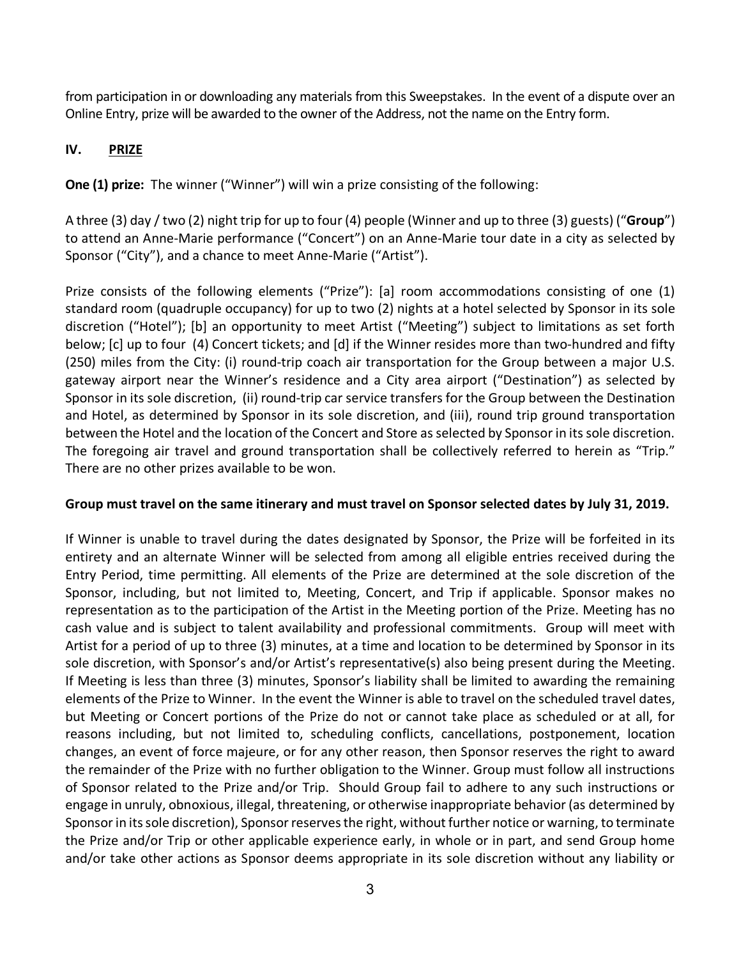from participation in or downloading any materials from this Sweepstakes. In the event of a dispute over an Online Entry, prize will be awarded to the owner of the Address, not the name on the Entry form.

# **IV. PRIZE**

**One (1) prize:** The winner ("Winner") will win a prize consisting of the following:

A three (3) day / two (2) night trip for up to four (4) people (Winner and up to three (3) guests) ("**Group**") to attend an Anne-Marie performance ("Concert") on an Anne-Marie tour date in a city as selected by Sponsor ("City"), and a chance to meet Anne-Marie ("Artist").

Prize consists of the following elements ("Prize"): [a] room accommodations consisting of one (1) standard room (quadruple occupancy) for up to two (2) nights at a hotel selected by Sponsor in its sole discretion ("Hotel"); [b] an opportunity to meet Artist ("Meeting") subject to limitations as set forth below; [c] up to four (4) Concert tickets; and [d] if the Winner resides more than two-hundred and fifty (250) miles from the City: (i) round-trip coach air transportation for the Group between a major U.S. gateway airport near the Winner's residence and a City area airport ("Destination") as selected by Sponsor in its sole discretion, (ii) round-trip car service transfers for the Group between the Destination and Hotel, as determined by Sponsor in its sole discretion, and (iii), round trip ground transportation between the Hotel and the location of the Concert and Store as selected by Sponsor in its sole discretion. The foregoing air travel and ground transportation shall be collectively referred to herein as "Trip." There are no other prizes available to be won.

# **Group must travel on the same itinerary and must travel on Sponsor selected dates by July 31, 2019.**

If Winner is unable to travel during the dates designated by Sponsor, the Prize will be forfeited in its entirety and an alternate Winner will be selected from among all eligible entries received during the Entry Period, time permitting. All elements of the Prize are determined at the sole discretion of the Sponsor, including, but not limited to, Meeting, Concert, and Trip if applicable. Sponsor makes no representation as to the participation of the Artist in the Meeting portion of the Prize. Meeting has no cash value and is subject to talent availability and professional commitments. Group will meet with Artist for a period of up to three (3) minutes, at a time and location to be determined by Sponsor in its sole discretion, with Sponsor's and/or Artist's representative(s) also being present during the Meeting. If Meeting is less than three (3) minutes, Sponsor's liability shall be limited to awarding the remaining elements of the Prize to Winner. In the event the Winner is able to travel on the scheduled travel dates, but Meeting or Concert portions of the Prize do not or cannot take place as scheduled or at all, for reasons including, but not limited to, scheduling conflicts, cancellations, postponement, location changes, an event of force majeure, or for any other reason, then Sponsor reserves the right to award the remainder of the Prize with no further obligation to the Winner. Group must follow all instructions of Sponsor related to the Prize and/or Trip. Should Group fail to adhere to any such instructions or engage in unruly, obnoxious, illegal, threatening, or otherwise inappropriate behavior (as determined by Sponsor in its sole discretion), Sponsor reserves the right, without further notice or warning, to terminate the Prize and/or Trip or other applicable experience early, in whole or in part, and send Group home and/or take other actions as Sponsor deems appropriate in its sole discretion without any liability or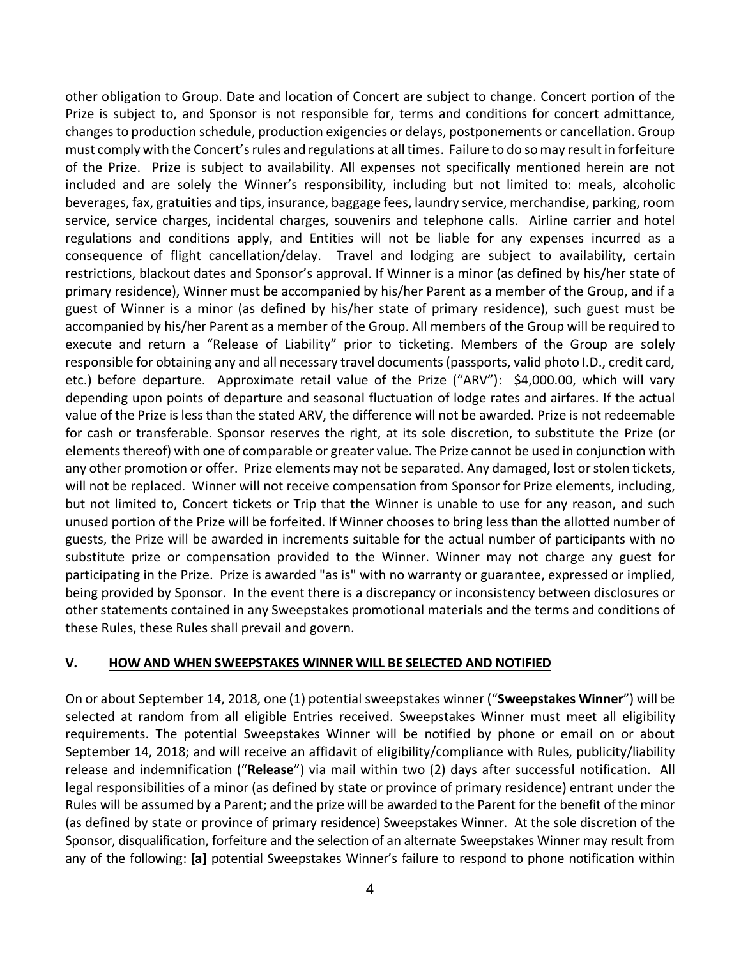other obligation to Group. Date and location of Concert are subject to change. Concert portion of the Prize is subject to, and Sponsor is not responsible for, terms and conditions for concert admittance, changes to production schedule, production exigencies or delays, postponements or cancellation. Group must comply with the Concert's rules and regulations at all times. Failure to do so may result in forfeiture of the Prize. Prize is subject to availability. All expenses not specifically mentioned herein are not included and are solely the Winner's responsibility, including but not limited to: meals, alcoholic beverages, fax, gratuities and tips, insurance, baggage fees, laundry service, merchandise, parking, room service, service charges, incidental charges, souvenirs and telephone calls. Airline carrier and hotel regulations and conditions apply, and Entities will not be liable for any expenses incurred as a consequence of flight cancellation/delay. Travel and lodging are subject to availability, certain restrictions, blackout dates and Sponsor's approval. If Winner is a minor (as defined by his/her state of primary residence), Winner must be accompanied by his/her Parent as a member of the Group, and if a guest of Winner is a minor (as defined by his/her state of primary residence), such guest must be accompanied by his/her Parent as a member of the Group. All members of the Group will be required to execute and return a "Release of Liability" prior to ticketing. Members of the Group are solely responsible for obtaining any and all necessary travel documents (passports, valid photo I.D., credit card, etc.) before departure. Approximate retail value of the Prize ("ARV"): \$4,000.00, which will vary depending upon points of departure and seasonal fluctuation of lodge rates and airfares. If the actual value of the Prize is less than the stated ARV, the difference will not be awarded. Prize is not redeemable for cash or transferable. Sponsor reserves the right, at its sole discretion, to substitute the Prize (or elements thereof) with one of comparable or greater value. The Prize cannot be used in conjunction with any other promotion or offer. Prize elements may not be separated. Any damaged, lost or stolen tickets, will not be replaced. Winner will not receive compensation from Sponsor for Prize elements, including, but not limited to, Concert tickets or Trip that the Winner is unable to use for any reason, and such unused portion of the Prize will be forfeited. If Winner chooses to bring less than the allotted number of guests, the Prize will be awarded in increments suitable for the actual number of participants with no substitute prize or compensation provided to the Winner. Winner may not charge any guest for participating in the Prize. Prize is awarded "as is" with no warranty or guarantee, expressed or implied, being provided by Sponsor. In the event there is a discrepancy or inconsistency between disclosures or other statements contained in any Sweepstakes promotional materials and the terms and conditions of these Rules, these Rules shall prevail and govern.

#### **V. HOW AND WHEN SWEEPSTAKES WINNER WILL BE SELECTED AND NOTIFIED**

On or about September 14, 2018, one (1) potential sweepstakes winner ("**Sweepstakes Winner**") will be selected at random from all eligible Entries received. Sweepstakes Winner must meet all eligibility requirements. The potential Sweepstakes Winner will be notified by phone or email on or about September 14, 2018; and will receive an affidavit of eligibility/compliance with Rules, publicity/liability release and indemnification ("**Release**") via mail within two (2) days after successful notification. All legal responsibilities of a minor (as defined by state or province of primary residence) entrant under the Rules will be assumed by a Parent; and the prize will be awarded to the Parent for the benefit of the minor (as defined by state or province of primary residence) Sweepstakes Winner. At the sole discretion of the Sponsor, disqualification, forfeiture and the selection of an alternate Sweepstakes Winner may result from any of the following: **[a]** potential Sweepstakes Winner's failure to respond to phone notification within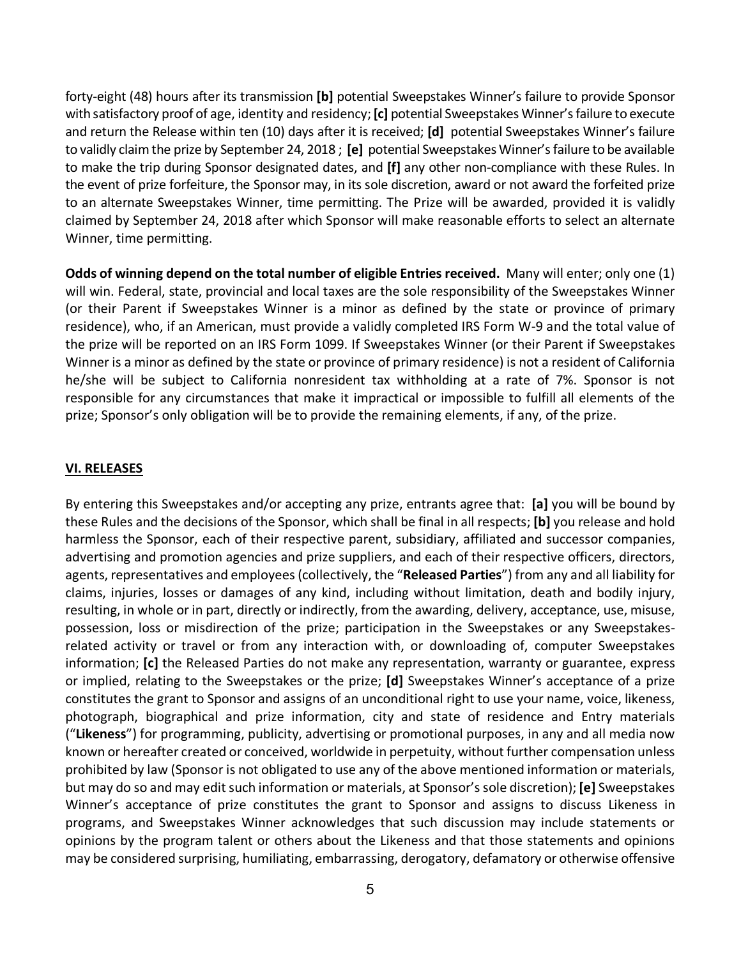forty-eight (48) hours after its transmission **[b]** potential Sweepstakes Winner's failure to provide Sponsor with satisfactory proof of age, identity and residency; **[c]** potential Sweepstakes Winner's failure to execute and return the Release within ten (10) days after it is received; **[d]** potential Sweepstakes Winner's failure to validly claim the prize by September 24, 2018 ; **[e]** potential Sweepstakes Winner's failure to be available to make the trip during Sponsor designated dates, and **[f]** any other non-compliance with these Rules. In the event of prize forfeiture, the Sponsor may, in its sole discretion, award or not award the forfeited prize to an alternate Sweepstakes Winner, time permitting. The Prize will be awarded, provided it is validly claimed by September 24, 2018 after which Sponsor will make reasonable efforts to select an alternate Winner, time permitting.

**Odds of winning depend on the total number of eligible Entries received.** Many will enter; only one (1) will win. Federal, state, provincial and local taxes are the sole responsibility of the Sweepstakes Winner (or their Parent if Sweepstakes Winner is a minor as defined by the state or province of primary residence), who, if an American, must provide a validly completed IRS Form W-9 and the total value of the prize will be reported on an IRS Form 1099. If Sweepstakes Winner (or their Parent if Sweepstakes Winner is a minor as defined by the state or province of primary residence) is not a resident of California he/she will be subject to California nonresident tax withholding at a rate of 7%. Sponsor is not responsible for any circumstances that make it impractical or impossible to fulfill all elements of the prize; Sponsor's only obligation will be to provide the remaining elements, if any, of the prize.

#### **VI. RELEASES**

By entering this Sweepstakes and/or accepting any prize, entrants agree that: **[a]** you will be bound by these Rules and the decisions of the Sponsor, which shall be final in all respects; **[b]** you release and hold harmless the Sponsor, each of their respective parent, subsidiary, affiliated and successor companies, advertising and promotion agencies and prize suppliers, and each of their respective officers, directors, agents, representatives and employees (collectively, the "**Released Parties**") from any and all liability for claims, injuries, losses or damages of any kind, including without limitation, death and bodily injury, resulting, in whole or in part, directly or indirectly, from the awarding, delivery, acceptance, use, misuse, possession, loss or misdirection of the prize; participation in the Sweepstakes or any Sweepstakesrelated activity or travel or from any interaction with, or downloading of, computer Sweepstakes information; **[c]** the Released Parties do not make any representation, warranty or guarantee, express or implied, relating to the Sweepstakes or the prize; **[d]** Sweepstakes Winner's acceptance of a prize constitutes the grant to Sponsor and assigns of an unconditional right to use your name, voice, likeness, photograph, biographical and prize information, city and state of residence and Entry materials ("**Likeness**") for programming, publicity, advertising or promotional purposes, in any and all media now known or hereafter created or conceived, worldwide in perpetuity, without further compensation unless prohibited by law (Sponsor is not obligated to use any of the above mentioned information or materials, but may do so and may edit such information or materials, at Sponsor's sole discretion); **[e]** Sweepstakes Winner's acceptance of prize constitutes the grant to Sponsor and assigns to discuss Likeness in programs, and Sweepstakes Winner acknowledges that such discussion may include statements or opinions by the program talent or others about the Likeness and that those statements and opinions may be considered surprising, humiliating, embarrassing, derogatory, defamatory or otherwise offensive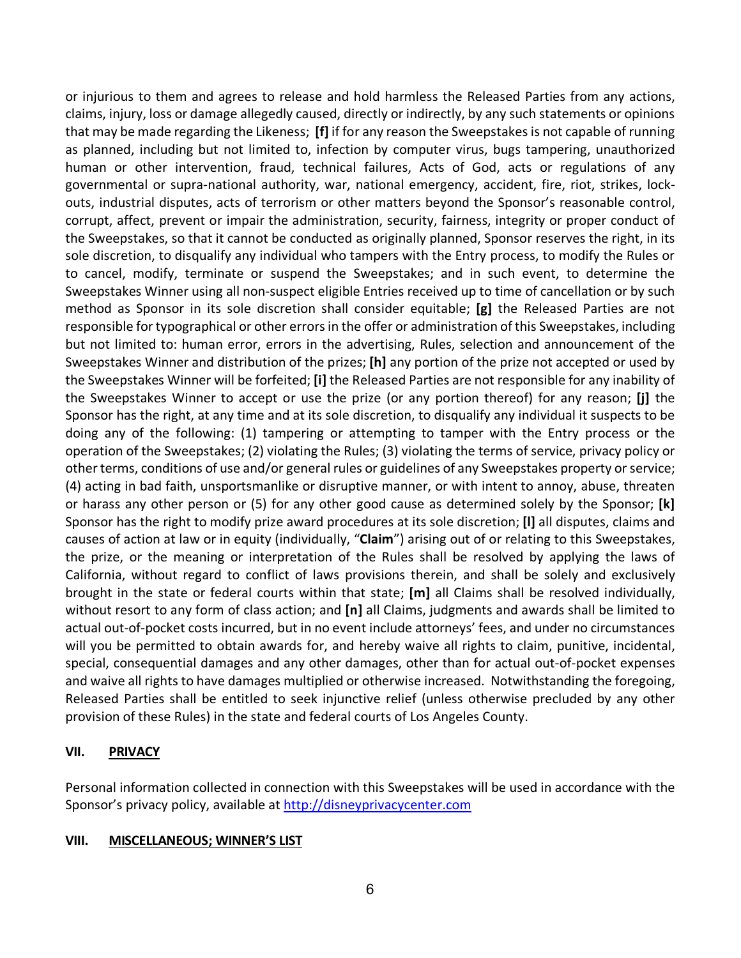or injurious to them and agrees to release and hold harmless the Released Parties from any actions, claims, injury, loss or damage allegedly caused, directly or indirectly, by any such statements or opinions that may be made regarding the Likeness; **[f]** if for any reason the Sweepstakes is not capable of running as planned, including but not limited to, infection by computer virus, bugs tampering, unauthorized human or other intervention, fraud, technical failures, Acts of God, acts or regulations of any governmental or supra-national authority, war, national emergency, accident, fire, riot, strikes, lockouts, industrial disputes, acts of terrorism or other matters beyond the Sponsor's reasonable control, corrupt, affect, prevent or impair the administration, security, fairness, integrity or proper conduct of the Sweepstakes, so that it cannot be conducted as originally planned, Sponsor reserves the right, in its sole discretion, to disqualify any individual who tampers with the Entry process, to modify the Rules or to cancel, modify, terminate or suspend the Sweepstakes; and in such event, to determine the Sweepstakes Winner using all non-suspect eligible Entries received up to time of cancellation or by such method as Sponsor in its sole discretion shall consider equitable; **[g]** the Released Parties are not responsible for typographical or other errors in the offer or administration of this Sweepstakes, including but not limited to: human error, errors in the advertising, Rules, selection and announcement of the Sweepstakes Winner and distribution of the prizes; **[h]** any portion of the prize not accepted or used by the Sweepstakes Winner will be forfeited; **[i]** the Released Parties are not responsible for any inability of the Sweepstakes Winner to accept or use the prize (or any portion thereof) for any reason; **[j]** the Sponsor has the right, at any time and at its sole discretion, to disqualify any individual it suspects to be doing any of the following: (1) tampering or attempting to tamper with the Entry process or the operation of the Sweepstakes; (2) violating the Rules; (3) violating the terms of service, privacy policy or other terms, conditions of use and/or general rules or guidelines of any Sweepstakes property or service; (4) acting in bad faith, unsportsmanlike or disruptive manner, or with intent to annoy, abuse, threaten or harass any other person or (5) for any other good cause as determined solely by the Sponsor; **[k]** Sponsor has the right to modify prize award procedures at its sole discretion; **[l]** all disputes, claims and causes of action at law or in equity (individually, "**Claim**") arising out of or relating to this Sweepstakes, the prize, or the meaning or interpretation of the Rules shall be resolved by applying the laws of California, without regard to conflict of laws provisions therein, and shall be solely and exclusively brought in the state or federal courts within that state; **[m]** all Claims shall be resolved individually, without resort to any form of class action; and **[n]** all Claims, judgments and awards shall be limited to actual out-of-pocket costs incurred, but in no event include attorneys' fees, and under no circumstances will you be permitted to obtain awards for, and hereby waive all rights to claim, punitive, incidental, special, consequential damages and any other damages, other than for actual out-of-pocket expenses and waive all rights to have damages multiplied or otherwise increased. Notwithstanding the foregoing, Released Parties shall be entitled to seek injunctive relief (unless otherwise precluded by any other provision of these Rules) in the state and federal courts of Los Angeles County.

# **VII. PRIVACY**

Personal information collected in connection with this Sweepstakes will be used in accordance with the Sponsor's privacy policy, available at http://disneyprivacycenter.com

#### **VIII. MISCELLANEOUS; WINNER'S LIST**